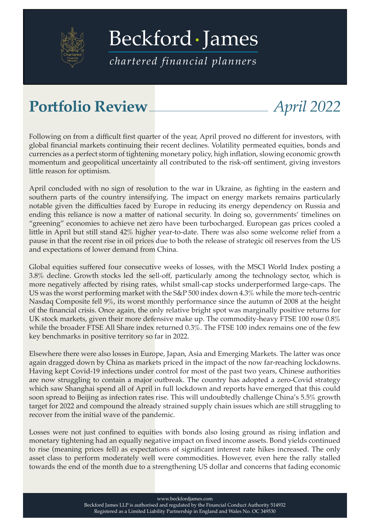

[Beckford James](https://beckfordjames.com/client-information/portfolio-reviews/)

*chartered financial planners*

## **Portfolio Review** *April 2022*

Following on from a difficult first quarter of the year, April proved no different for investors, with global financial markets continuing their recent declines. Volatility permeated equities, bonds and currencies as a perfect storm of tightening monetary policy, high inflation, slowing economic growth momentum and geopolitical uncertainty all contributed to the risk-off sentiment, giving investors little reason for optimism.

April concluded with no sign of resolution to the war in Ukraine, as fighting in the eastern and southern parts of the country intensifying. The impact on energy markets remains particularly notable given the difficulties faced by Europe in reducing its energy dependency on Russia and ending this reliance is now a matter of national security. In doing so, governments' timelines on "greening" economies to achieve net zero have been turbocharged. European gas prices cooled a little in April but still stand 42% higher year-to-date. There was also some welcome relief from a pause in that the recent rise in oil prices due to both the release of strategic oil reserves from the US and expectations of lower demand from China.

Global equities suffered four consecutive weeks of losses, with the MSCI World Index posting a 3.8% decline. Growth stocks led the sell-off, particularly among the technology sector, which is more negatively affected by rising rates, whilst small-cap stocks underperformed large-caps. The US was the worst performing market with the S&P 500 index down 4.3% while the more tech-centric Nasdaq Composite fell 9%, its worst monthly performance since the autumn of 2008 at the height of the financial crisis. Once again, the only relative bright spot was marginally positive returns for UK stock markets, given their more defensive make up. The commodity-heavy FTSE 100 rose 0.8% while the broader FTSE All Share index returned 0.3%. The FTSE 100 index remains one of the few key benchmarks in positive territory so far in 2022.

Elsewhere there were also losses in Europe, Japan, Asia and Emerging Markets. The latter was once again dragged down by China as markets priced in the impact of the now far-reaching lockdowns. Having kept Covid-19 infections under control for most of the past two years, Chinese authorities are now struggling to contain a major outbreak. The country has adopted a zero-Covid strategy which saw Shanghai spend all of April in full lockdown and reports have emerged that this could soon spread to Beijing as infection rates rise. This will undoubtedly challenge China's 5.5% growth target for 2022 and compound the already strained supply chain issues which are still struggling to recover from the initial wave of the pandemic.

Losses were not just confined to equities with bonds also losing ground as rising inflation and monetary tightening had an equally negative impact on fixed income assets. Bond yields continued to rise (meaning prices fell) as expectations of significant interest rate hikes increased. The only asset class to perform moderately well were commodities. However, even here the rally stalled towards the end of the month due to a strengthening US dollar and concerns that fading economic

www.beckfordjames.com

Beckford James LLP is authorised and regulated by the Financial Conduct Authority 514932 Registered as a Limited Liability Partnership in England and Wales No. OC 349530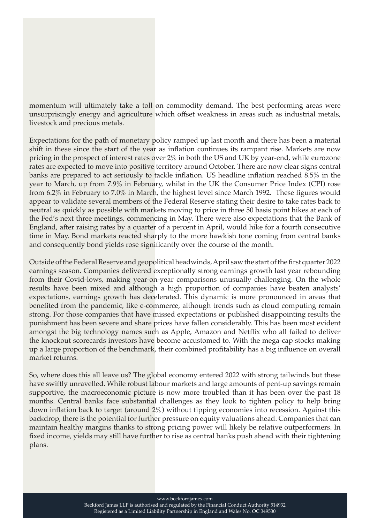momentum will ultimately take a toll on commodity demand. The best performing areas were unsurprisingly energy and agriculture which offset weakness in areas such as industrial metals, livestock and precious metals.

Expectations for the path of monetary policy ramped up last month and there has been a material shift in these since the start of the year as inflation continues its rampant rise. Markets are now pricing in the prospect of interest rates over 2% in both the US and UK by year-end, while eurozone rates are expected to move into positive territory around October. There are now clear signs central banks are prepared to act seriously to tackle inflation. US headline inflation reached 8.5% in the year to March, up from 7.9% in February, whilst in the UK the Consumer Price Index (CPI) rose from 6.2% in February to 7.0% in March, the highest level since March 1992. These figures would appear to validate several members of the Federal Reserve stating their desire to take rates back to neutral as quickly as possible with markets moving to price in three 50 basis point hikes at each of the Fed's next three meetings, commencing in May. There were also expectations that the Bank of England, after raising rates by a quarter of a percent in April, would hike for a fourth consecutive time in May. Bond markets reacted sharply to the more hawkish tone coming from central banks and consequently bond yields rose significantly over the course of the month.

Outside of the Federal Reserve and geopolitical headwinds, April saw the start of the first quarter 2022 earnings season. Companies delivered exceptionally strong earnings growth last year rebounding from their Covid-lows, making year-on-year comparisons unusually challenging. On the whole results have been mixed and although a high proportion of companies have beaten analysts' expectations, earnings growth has decelerated. This dynamic is more pronounced in areas that benefited from the pandemic, like e-commerce, although trends such as cloud computing remain strong. For those companies that have missed expectations or published disappointing results the punishment has been severe and share prices have fallen considerably. This has been most evident amongst the big technology names such as Apple, Amazon and Netflix who all failed to deliver the knockout scorecards investors have become accustomed to. With the mega-cap stocks making up a large proportion of the benchmark, their combined profitability has a big influence on overall market returns.

So, where does this all leave us? The global economy entered 2022 with strong tailwinds but these have swiftly unravelled. While robust labour markets and large amounts of pent-up savings remain supportive, the macroeconomic picture is now more troubled than it has been over the past 18 months. Central banks face substantial challenges as they look to tighten policy to help bring down inflation back to target (around 2%) without tipping economies into recession. Against this backdrop, there is the potential for further pressure on equity valuations ahead. Companies that can maintain healthy margins thanks to strong pricing power will likely be relative outperformers. In fixed income, yields may still have further to rise as central banks push ahead with their tightening plans.

www.beckfordjames.com